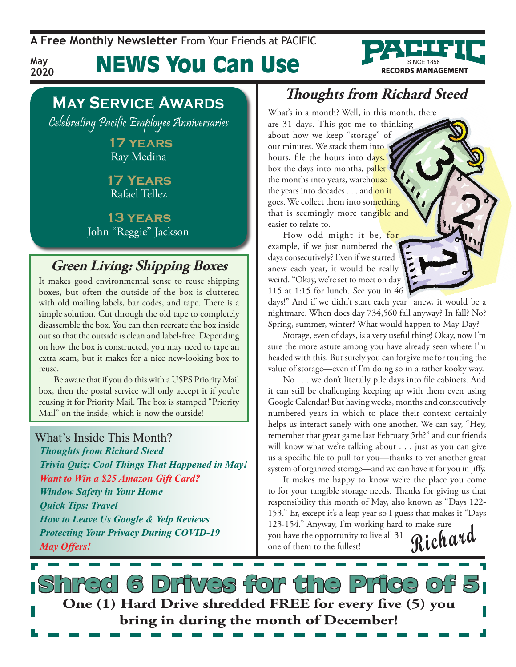**A Free Monthly Newsletter** From Your Friends at Pacific

# News You Can Use



**May 2020**

Celebrating Pacific Employee Anniversaries

 **17 years** Ray Medina

**17 Years** Rafael Tellez

**13 years** John "Reggie" Jackson

### **Green Living: Shipping Boxes**

It makes good environmental sense to reuse shipping boxes, but often the outside of the box is cluttered with old mailing labels, bar codes, and tape. There is a simple solution. Cut through the old tape to completely disassemble the box. You can then recreate the box inside out so that the outside is clean and label-free. Depending on how the box is constructed, you may need to tape an extra seam, but it makes for a nice new-looking box to reuse.

Be aware that if you do this with a USPS Priority Mail box, then the postal service will only accept it if you're reusing it for Priority Mail. The box is stamped "Priority Mail" on the inside, which is now the outside!

#### What's Inside This Month?

*Thoughts from Richard Steed Trivia Quiz: Cool Things That Happened in May! Want to Win a \$25 Amazon Gift Card? Window Safety in Your Home Quick Tips: Travel How to Leave Us Google & Yelp Reviews Protecting Your Privacy During COVID-19 May Offers!*

### **Thoughts from Richard Steed**

**RECORDS MANAGEMENT** 

What's in a month? Well, in this month, there are 31 days. This got me to thinking about how we keep "storage" of our minutes. We stack them into hours, file the hours into days, box the days into months, pallet the months into years, warehouse the years into decades . . . and on it goes. We collect them into something that is seemingly more tangible and easier to relate to.

How odd might it be, for example, if we just numbered the days consecutively? Even if we started anew each year, it would be really weird. "Okay, we're set to meet on day 115 at 1:15 for lunch. See you in 46

days!" And if we didn't start each year anew, it would be a nightmare. When does day 734,560 fall anyway? In fall? No? Spring, summer, winter? What would happen to May Day?

Storage, even of days, is a very useful thing! Okay, now I'm sure the more astute among you have already seen where I'm headed with this. But surely you can forgive me for touting the value of storage—even if I'm doing so in a rather kooky way.

No . . . we don't literally pile days into file cabinets. And it can still be challenging keeping up with them even using Google Calendar! But having weeks, months and consecutively numbered years in which to place their context certainly helps us interact sanely with one another. We can say, "Hey, remember that great game last February 5th?" and our friends will know what we're talking about . . . just as you can give us a specific file to pull for you—thanks to yet another great system of organized storage—and we can have it for you in jiffy.

It makes me happy to know we're the place you come to for your tangible storage needs. Thanks for giving us that responsibility this month of May, also known as "Days 122- 153." Er, except it's a leap year so I guess that makes it "Days 123-154." Anyway, I'm working hard to make sure

you have the opportunity to live all 31 you have the opportunity to live all 31 **Richard** 

**S** Drives for the Price o **One (1) Hard Drive shredded FREE for every five (5) you bring in during the month of December!**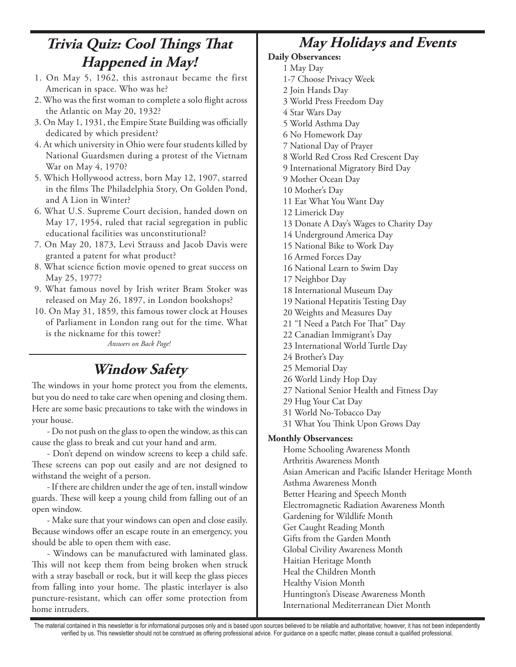## **Trivia Quiz: Cool Things That Happened in May!**

- 1. On May 5, 1962, this astronaut became the first American in space. Who was he?
- 2. Who was the first woman to complete a solo flight across the Atlantic on May 20, 1932?
- 3. On May 1, 1931, the Empire State Building was officially dedicated by which president?
- 4. At which university in Ohio were four students killed by National Guardsmen during a protest of the Vietnam War on May 4, 1970?
- 5. Which Hollywood actress, born May 12, 1907, starred in the films The Philadelphia Story, On Golden Pond, and A Lion in Winter?
- 6. What U.S. Supreme Court decision, handed down on May 17, 1954, ruled that racial segregation in public educational facilities was unconstitutional?
- 7. On May 20, 1873, Levi Strauss and Jacob Davis were granted a patent for what product?
- 8. What science fiction movie opened to great success on May 25, 1977?
- 9. What famous novel by Irish writer Bram Stoker was released on May 26, 1897, in London bookshops?
- 10. On May 31, 1859, this famous tower clock at Houses of Parliament in London rang out for the time. What is the nickname for this tower?

*Answers on Back Page!*

# **Window Safety**

The windows in your home protect you from the elements, but you do need to take care when opening and closing them. Here are some basic precautions to take with the windows in your house.

- Do not push on the glass to open the window, as this can cause the glass to break and cut your hand and arm.

- Don't depend on window screens to keep a child safe. These screens can pop out easily and are not designed to withstand the weight of a person.

- If there are children under the age of ten, install window guards. These will keep a young child from falling out of an open window.

- Make sure that your windows can open and close easily. Because windows offer an escape route in an emergency, you should be able to open them with ease.

- Windows can be manufactured with laminated glass. This will not keep them from being broken when struck with a stray baseball or rock, but it will keep the glass pieces from falling into your home. The plastic interlayer is also puncture-resistant, which can offer some protection from home intruders.

## **May Holidays and Events**

#### **Daily Observances:**

- 1 May Day
	- 1-7 Choose Privacy Week
- 2 Join Hands Day
- 3 World Press Freedom Day
- 4 Star Wars Day
- 5 World Asthma Day
- 6 No Homework Day
- 7 National Day of Prayer
- 8 World Red Cross Red Crescent Day
- 9 International Migratory Bird Day
- 9 Mother Ocean Day
- 10 Mother's Day
- 11 Eat What You Want Day
- 12 Limerick Day
- 13 Donate A Day's Wages to Charity Day
- 14 Underground America Day
- 15 National Bike to Work Day
- 16 Armed Forces Day
- 16 National Learn to Swim Day
- 17 Neighbor Day
- 18 International Museum Day
- 19 National Hepatitis Testing Day
- 20 Weights and Measures Day
- 21 "I Need a Patch For That" Day
- 22 Canadian Immigrant's Day
- 23 International World Turtle Day
- 24 Brother's Day
- 25 Memorial Day
- 26 World Lindy Hop Day
- 27 National Senior Health and Fitness Day
- 29 Hug Your Cat Day
- 31 World No-Tobacco Day
- 31 What You Think Upon Grows Day

#### **Monthly Observances:**

Home Schooling Awareness Month Arthritis Awareness Month Asian American and Pacific Islander Heritage Month Asthma Awareness Month Better Hearing and Speech Month Electromagnetic Radiation Awareness Month Gardening for Wildlife Month Get Caught Reading Month Gifts from the Garden Month Global Civility Awareness Month Haitian Heritage Month Heal the Children Month Healthy Vision Month Huntington's Disease Awareness Month International Mediterranean Diet Month

The material contained in this newsletter is for informational purposes only and is based upon sources believed to be reliable and authoritative; however, it has not been independently verified by us. This newsletter should not be construed as offering professional advice. For guidance on a specific matter, please consult a qualified professional.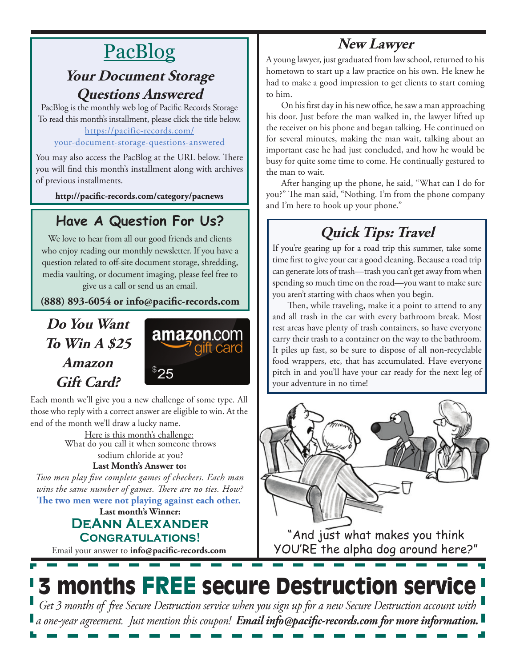# **New Lawyer**

# PacBlog

### **Your Document Storage Questions Answered**

PacBlog is the monthly web log of Pacific Records Storage To read this month's installment, please click the title below[.](http://pacific-records.com/5-advantages-of-a-local-shredding-and-destruction-provider) [https://pacific-records.com/](https://pacific-records.com/your-document-storage-questions-answered)

#### [your-document-storage-questions-answered](https://pacific-records.com/your-document-storage-questions-answered)

You may also access the PacBlog at the URL below. There you will find this month's installment along with archives of previous installments.

**http://pacific-records.com/category/pacnews**

## **Have A Question For Us?**

We love to hear from all our good friends and clients who enjoy reading our monthly newsletter. If you have a question related to off-site document storage, shredding, media vaulting, or document imaging, please feel free to give us a call or send us an email.

**(888) 893-6054 or info@pacific-records.com**

## **Do You Want To Win A \$25 Amazon Gift Card?**



Each month we'll give you a new challenge of some type. All those who reply with a correct answer are eligible to win. At the end of the month we'll draw a lucky name.

> Here is this month's challenge: **Last Month's Answer to:**  What do you call it when someone throws sodium chloride at you?

**The two men were not playing against each other.**  *Two men play five complete games of checkers. Each man wins the same number of games. There are no ties. How?*

#### **Last month's Winner: DeAnn Alexander Congratulations!**

Email your answer to **info@pacific-records.com**

A young lawyer, just graduated from law school, returned to his hometown to start up a law practice on his own. He knew he had to make a good impression to get clients to start coming to him.

On his first day in his new office, he saw a man approaching his door. Just before the man walked in, the lawyer lifted up the receiver on his phone and began talking. He continued on for several minutes, making the man wait, talking about an important case he had just concluded, and how he would be busy for quite some time to come. He continually gestured to the man to wait.

After hanging up the phone, he said, "What can I do for you?" The man said, "Nothing. I'm from the phone company and I'm here to hook up your phone."

# **Quick Tips: Travel**

If you're gearing up for a road trip this summer, take some time first to give your car a good cleaning. Because a road trip can generate lots of trash—trash you can't get away from when spending so much time on the road—you want to make sure you aren't starting with chaos when you begin.

Then, while traveling, make it a point to attend to any and all trash in the car with every bathroom break. Most rest areas have plenty of trash containers, so have everyone carry their trash to a container on the way to the bathroom. It piles up fast, so be sure to dispose of all non-recyclable food wrappers, etc, that has accumulated. Have everyone pitch in and you'll have your car ready for the next leg of your adventure in no time!



"And just what makes you think YOU'RE the alpha dog around here?"

# 3 months FREE secure Destruction service

*Get 3 months of free Secure Destruction service when you sign up for a new Secure Destruction account with a one-year agreement. Just mention this coupon! Email info@pacific-records.com for more information.*